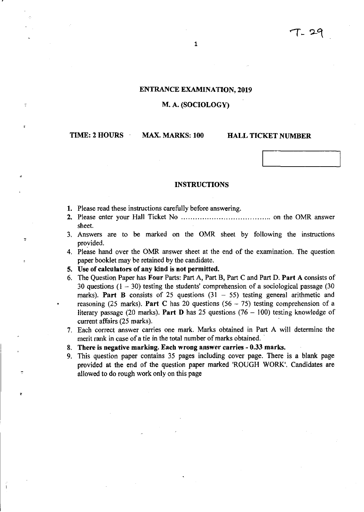#### ENTRANCE EXAMINATION, 2019

1

## M. A. (SOCIOLOGY)

TIME: 2 HOURS

 $\overline{z}$ 

 $\ddot{ }$ 

#### **MAX. MARKS: 100 HALL TICKET NUMBER**

#### INSTRUCTIONS

- 1. Please read these instructions carefully before answering.
- 2. Please enter your Hall Ticket No ...................................... on the OMR answer sheet.
- 3. Answers are to be marked on the OMR sheet by following the instructions provided.
- 4. Please hand over the OMR answer sheet at the end of the examination. The question paper booklet may be retained by the candidate.
- 5. Use of calculators of any kind is not permitted.
- 6. The Question Paper has Four Parts: Part A, Part B, Part C and Part D. Part A consists of 30 questions  $(1 - 30)$  testing the students' comprehension of a sociological passage  $(30)$ marks). Part B consists of 25 questions  $(31 - 55)$  testing general arithmetic and reasoning (25 marks). Part C has 20 questions  $(56 - 75)$  testing comprehension of a literary passage (20 marks). Part D has 25 questions (76 - 100) testing knowledge of current affairs (25 marks). .
- 7. Each correct answer carries one mark. Marks obtained in Part A will determine the merit rank in case of a tie in the total number of marks obtained.
- 8. There is negative marking. Each wrong answer carries 0.33 marks.
- 9. This question paper contains 35 pages including cover page. There is a blank page provided at the end of the question paper marked 'ROUGH WORK'. Candidates are allowed to do rough work only on this page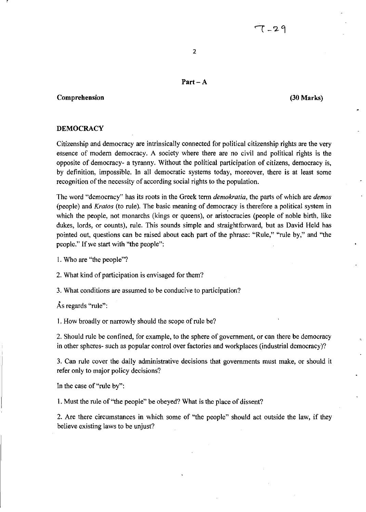## Part  $-$  A

## Comprehension (30 Marks)

## **DEMOCRACY**

Citizenship and democracy are intrinsically connected for political citizenship rights are the very essence of modem democracy. A society where there are no civil and political rights is the opposite of democracy- a tyranny. Without the political participation of citizens, democracy is, by definition, impossible. In all democratic systems today, moreover, there is at least some recognition of the necessity of according social rights to the population.

The word "democracy" has its roots in the Greek term *demokratia,* the parts of which are *demos*  (people) and *Kratos* (to rule). The basic meaning of democracy is therefore a political system in which the people, not monarchs (kings or queens), or aristocracies (people of noble birth, like dukes, lords, or counts), rule. This sounds simple and straightforward, but as David Held has pointed out, questions can be raised about each part of the phrase: "Rule," "rule by," and "the people." If we start with "the people":

I. Who are "the people"?

2. What kind of participation is envisaged for them?

3. What conditions are assumed to be conducive to participation?

As regards "rule":

I. How broadly or narrowly should the scope of rule be?

2. Should rule be confined, for example, to the sphere of government, or can there be democracy in other spheres- such as popular control over factories and workplaces (industrial democracy)?

3. Can rule cover the daily administrative decisions that governments must make, or should it refer only to major policy decisions?

In the case of "rule by":

I. Must the rule of "the people" be obeyed? What is the place of dissent?

2. Are there circumstances in which some of "the people" should act outside the law, if they believe existing laws to be unjust?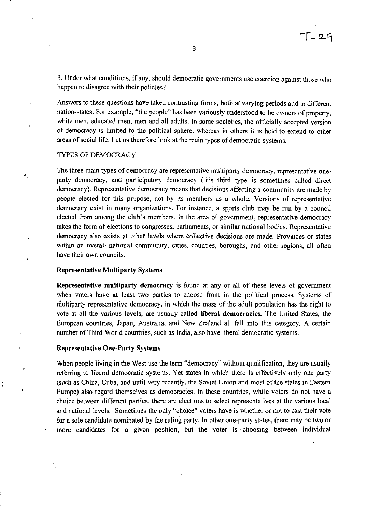3. Under what conditions, if any, should democratic governments use coercion against those who happen to disagree with their policies?

Answers to these questions have taken contrasting forms, both at varying periods and in different nation-states. For example, "the people" has been variously understood to be owners of property, white men, educated men, men and all adults. In some societies, the officially accepted version of democracy is limited to the political sphere, whereas in others it is held to extend to other areas of social life. Let us therefore look at the main types of democratic systems.

## TYPES OF DEMOCRACY

 $\overline{a}$ 

 $\overline{\phantom{a}}$ 

ż

The three main types of democracy are representative multiparty democracy, representative oneparty democracy, and participatory democracy (this third type is sometimes called direct democracy). Representative democracy means that decisions affecting a community are made by people elected for this purpose, not by its members as a whole. Versions of representative democracy exist in many organizations. For instance, a sports club may be run by a council elected from among the club's members. In the area of government, representative democracy takes the form of elections to congresses, parliaments, or similar national bodies. Representative democracy also exists at other levels where collective decisions are made. Provinces or states within an overall national community, cities, counties, boroughs, and other regions, all often have their own councils.

#### Representative Multiparty Systems

Representative multiparty democracy is found at any or all of these levels of government when voters have at least two parties to choose from in the political process. Systems of multiparty representative democracy, in which the mass of the adult population has the right to vote at all the various levels, are usually called liberal democracies. The United States, the European countries, Japan, Australia, and New Zealand all fall into this category. A certain number of Third World countries, such as India, also have liberal democratic systems.

#### Representative One-Party Systems

When people living in the West use the term "democracy" without qualification, they are usually referring to liberal democratic systems. Yet states in which there is effectively only one party (such as China, Cuba, and until very recently, the Soviet Union and most of the states in Eastern Europe) also regard themselves as democracies. In these countries, while voters do not have a choice between different parties, there are elections to select representatives at the various local and national levels. Sometimes the only "choice" voters have is whether or not to cast their vote for a sole candidate nominated by the ruling party. In other one-party states, there may be two or more candidates for a given position, but the voter is choosing between individual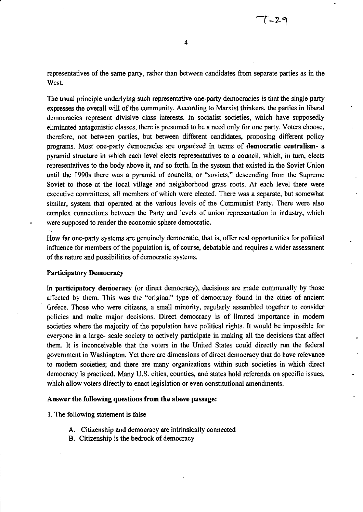representatives of the same party, rather than between candidates from separate parties as in the West.

The usual principle underlying such representative one-party democracies is that the single party expresses the overall will of the community. According to Marxist thinkers, the parties in liberal democracies represent divisive class interests. In socialist societies, which have supposedly eliminated antagonistic classes, there is presumed to be a need only for one party. Voters choose, therefore, not between parties, but between different candidates, proposing different policy programs. Most one-party democracies are organized in terms of democratic centralism- a pyramid structure in which each level elects representatives to a council, which, in turn, elects representatives to the body above it, and so forth. In the system that existed in the Soviet Union until the 1990s there was a pyramid of councils, or "soviets," descending from the Supreme Soviet to those at the local village and neighborhood grass roots. At each level there were executive committees, all members of which were elected. There was a separate, but somewhat similar, system that operated at the various levels of the Communist Party. There were also complex connections between the Party and levels of union representation in industry, which were supposed to render the economic sphere democratic.

How far one-party systems are genuinely democratic, that is, offer real opportunities for political influence for members of the population is, of course, debatable and requires a wider assessment of the nature and possibilities of democratic systems.

#### Participatory Democracy

In participatory democracy (or direct democracy), decisions are made communally by those affected by them. This was the "original" type of democracy found in the cities of ancient Greece. Those who were citizens, a small minority, regularly assembled together to consider policies and make major decisions. Direct democracy is of limited importance in modern societies where the majority of the population have political rights. It would be impossible for everyone in a large- scale society to actively participate in making all the decisions that affect them. It is inconceivable that the voters in the United States could directly run the federal government in Washington. Yet there are dimensions of direct democracy that do have relevance to modern societies; and there are many organizations within such societies in which direct democracy is practiced. Many U.S. cities, counties, and states hold referenda on specific issues, which allow voters directly to enact legislation or even constitutional amendments.

#### Answer the following questions from the above passage:

1. The following statement is false

- A. Citizenship and democracy are intrinsically connected
- B. Citizenship is the bedrock of democracy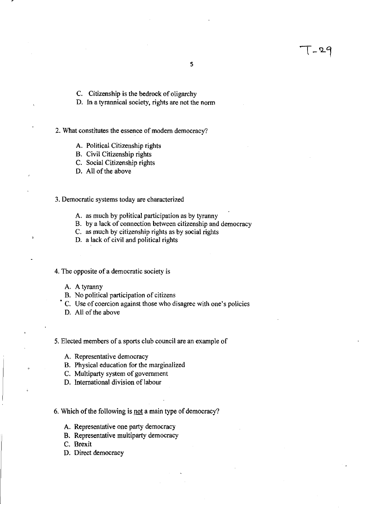- C. Citizenship is the bedrock of oligarchy
- D. In a tyrannical society, rights are not the norm
- 2. What constitutes the essence of modem democracy?
	- A. Political Citizenship rights
	- B. Civil Citizenship rights
	- C. Social Citizenship rights
	- D. All of the above

#### 3. Democratic systems today are characterized

- A. as much by political participation as by tyranny
- B. by a lack of connection between citizenship and democracy
- C. as much by citizenship rights as by social rights
- D. a lack of civil and political rights
- 4. The opposite of a democratic society is
	- A. A tyranny
	- B. No political participation of citizens
	- C. Use of coercion against those who disagree with one's policies
	- D. All of the above
- 5. Elected members of a sports club council are an example of
	- A. Representative democracy
	- B. Physical education for the marginalized
	- C. Multiparty system of government
	- D. International division of labour
- 6. Which of the following is not a main type of democracy?
	- A. Representative one party democracy
	- B. Representative multiparty democracy
	- C. Brexit
	- D. Direct democracy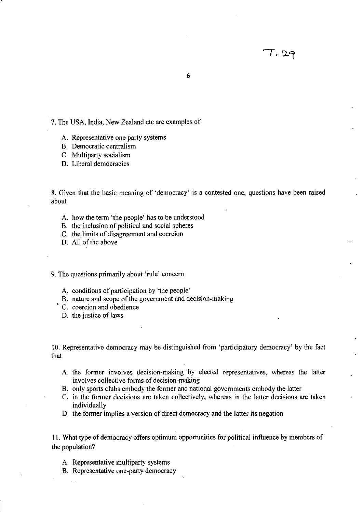T-29

6

7. The USA, India, New Zealand etc are examples of

- A. Representative one party systems
- B. Democratic centralism
- C. Multiparty socialism
- D. Liberal democracies

8. Given that the basic meaning of 'democracy' is a contested one, questions have been raised about

- A. how the term 'the people' has to be understood
- B. the inclusion of political and social spheres
- C. the limits of disagreement and coercion
- D. All of the above

9. The questions primarily about 'rule' concern

- A. conditions of participation by 'the people'
- B. nature and scope of the government and decision-making
- C. coercion and obedience
- D. the justice of laws

10. Representative democracy may be distinguished from 'participatory democracy' by the fact that

- A. the former involves decision-making by elected representatives, whereas the latter involves collective forms of decision-making
- B. only sports clubs embody the former and national governments embody the latter
- C. in the former decisions are taken collectively, whereas in the latter decisions are taken individually
- D. the former implies a version of direct democracy and the latter its negation

11. What type of democracy offers optimum opportunities for political influence by members of the population?

- A. Representative multiparty systems
- B. Representative one-party democracy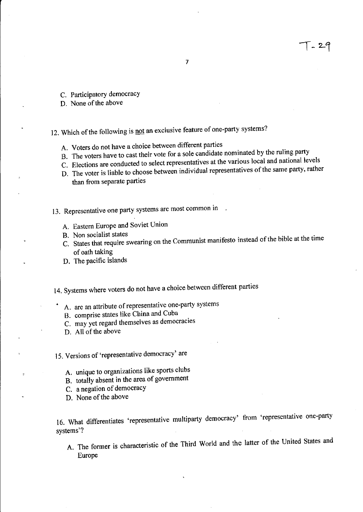- C. Participatory democracy
- D. None of the above
- 12. Which of the following is not an exclusive feature of one-party systems?
	- A. Voters do not have a choice between different parties
	- B. The voters have to cast their vote for a sole candidate nominated by the ruling party
	- C. Elections are conducted to select representatives at the various local and national levels
	- D. The voter is liable to choose between individual representatives of the same party, rather than from separate parties
- 13. Representative one party systems are most common in
	- A. Eastern Europe and Soviet Union
	- B. Non socialist states
	- C. States that require swearing on the Communist manifesto instead ofthe bible at the time of oath taking
	- D. The pacific islands
- 14. Systems where voters do not have a choice between different parties
	- A. are an attribute of representative one-party systems
		- B. comprise states like China and Cuba
		- C. may yet regard themselves as democracies
		- D. All of the above
- 15. Versions of 'representative democracy' are
	- A. unique to organizations like sports clubs
	- B. totally absent in the area of government
	- C. a negation of democracy
	- D. None of the above

16. What differentiates 'representative multiparty democracy' from 'representative one-party systems'?

A. The former is characteristic of the Third World and the latter of the United States and Europe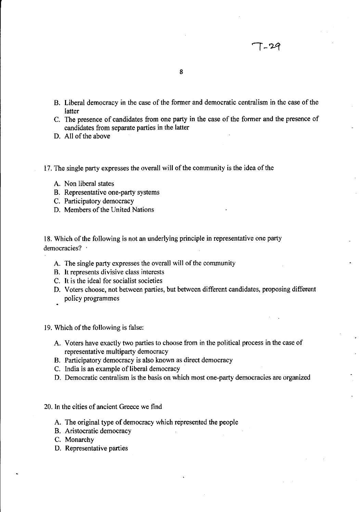- B. Liberal democracy in the case of the former and democratic centralism in the case of the latter
- C. The presence of candidates from one party in the case of the former and the presence of candidates from separate parties in the latter
- D. All of the above
- 17. The single party expresses the overall will of the community is the idea of the
	- A. Non liberal states
	- B. Representative one-party systems
	- C. Participatory democracy
	- D. Members of the United Nations

18. Which of the following is not an underlying principle in representative one party democracies? ·

- A. The single party expresses the overall will of the community
- B. It represents divisive class interests
- C. It is the ideal for socialist societies
- D. Voters choose, not between parties, but between different candidates, proposing different policy programmes
- 19. Which of the following is false:
	- A. Voters have exactly two parties to choose from in the political process in the case of representative multiparty democracy
	- B. Participatory democracy is also known as direct democracy
	- C. India is an example of liberal democracy
	- D. Democratic centralism is the basis on which most one-party democracies are organized
- 20. In the cities of ancient Greece we find
	- A. The original type of democracy which represented the people
	- B. Aristocratic democracy
	- C. Monarchy
	- D. Representative parties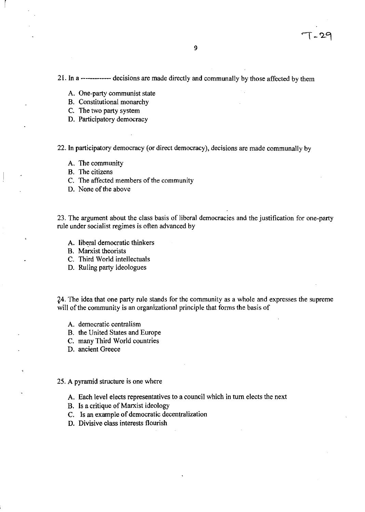21. **In** a ------------- decisions are made directly and communally by those affected by them

- A. One-party communist state
- B. Constitutional monarchy
- C. The two party system
- D. Participatory democracy

22. In participatory democracy (or direct democracy), decisions are made communally by

- A. The community
- B. The citizens

r

- C. The affected members of the community
- D. None of the above

23. The argument about the class basis of liberal democracies and the justification for one-party rule under socialist regimes is often advanced by

- A. liberal democratic thinkers
- B. Marxist theorists
- C. Third World intellectuals
- D. Ruling party ideologues

*f4.* The idea that one party rule stands for the community as a whole and expresses the supreme will of the community is an organizational principle that forms the basis of

- A. democratic centralism
- B. the United States and Europe
- C. many Third World countries
- D. ancient Greece

## 25. A pyramid structure is one where

- A. Each level elects representatives to a council which in tum elects the next
- B. Is a critique of Marxist ideology
- C. Is an example of democratic decentralization
- D. Divisive class interests flourish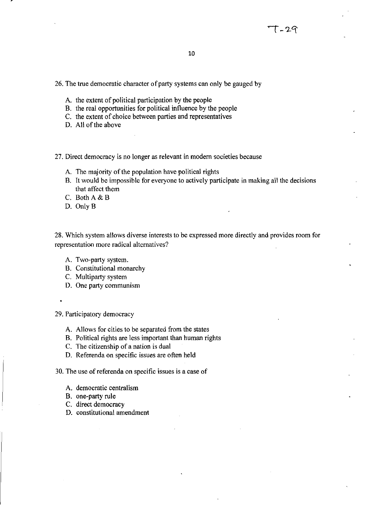26. The true democratic character of party systems can only be gauged by

- A. the extent of political participation by the people
- B. the real opportunities for political influence by the people
- C. the extent of choice between parties and representatives
- D. All of the above

27. Direct democracy is no longer as relevant in modem societies because

- A. The majority of the population have political rights
- B. It would be impossible for everyone to actively participate in making all the decisions that affect them
- C. Both $A & B$
- D. Only B

28. Which system allows diverse interests to be expressed more directly and provides room for representation more radical alternatives?

- A. Two-party system.
- B. Constitutional monarchy
- C. Multiparty system
- D. One party communism
- 29. Participatory democracy
	- A. Allows for cities to be separated from the states
	- B. Political rights are less important than human rights
	- C. The citizenship of a nation is dual
	- D. Referenda on specific issues are often held

30. The use of referenda on specific issues is a case of

- A. democratic centralism
- B. one-party rule
- C. direct democracy
- D. constitutional amendment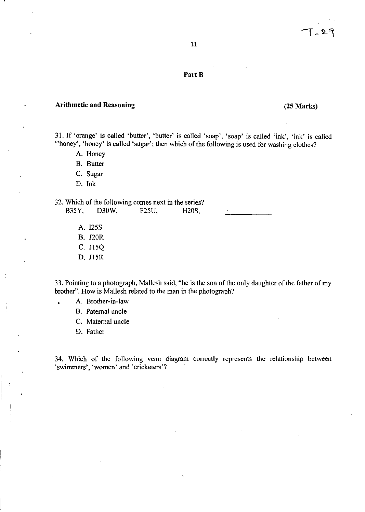## Part B

## Arithmetic and Reasoning (25 Marks)

,

31. If 'orange' is called 'butter', 'butter' is called 'soap', 'soap' is called 'ink', 'ink' is called "honey', 'honey' is called 'sugar'; then which of the following is used for washing clothes?

- A. Honey
- B. Butter
- C. Sugar
- D. Ink

32. Which of the following comes next in the series? B35Y, D30W, F25U, H20S,

- A. I25S
- B. J20R
- C.Jl5Q
- D. Jl5R

33. Pointing to a photograph, Mallesh said, "he is the son of the only daughter of the father of my brother". How is Mallesh related to the man in the photograph?

- A. Brother-in-law
- B. Paternal uncle
- C. Maternal uncle
- D. Father

34. Which of the following venn diagram correctly represents the relationship between 'swimmers', 'women' and 'cricketers'?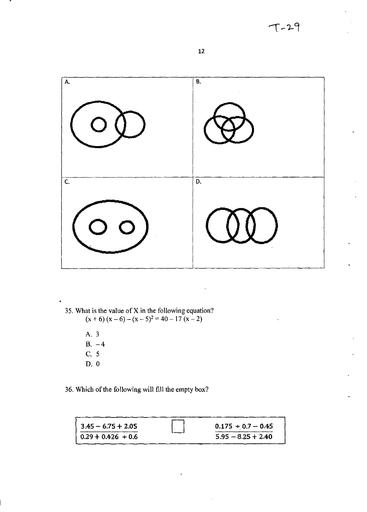$T - 29$ 

12



35. What is the value of X in the following equation?  $(x + 6) (x - 6) - (x - 5)^2 = 40 - 17 (x - 2)$ 

> A. 3  $B. -4$ C. 5 D. 0

36. Which of the following will fill the empty box?

 $3.45 - 6.75 + 2.05$  $0.29 + 0.426 + 0.6$  $0.175 + 0.7 - 0.45$  $5.95 - 8.25 + 2.40$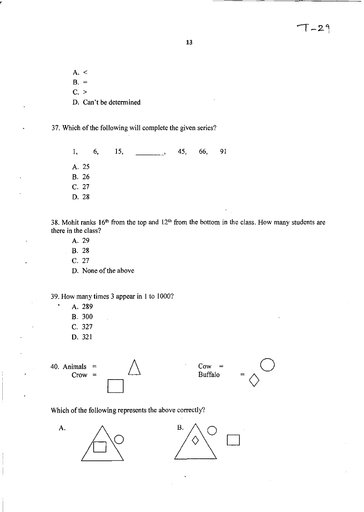13

 $A. <$ **B.** =  $C. >$ D. Can't be determined

37. Which of the following will complete the given series?

1, A.25 B. 26 C. 27 D.28 6, 15, 45, 66, 91

38. Mohit ranks  $16<sup>th</sup>$  from the top and  $12<sup>th</sup>$  from the bottom in the class. How many students are there in the class?

A.29

B. 28

C. 27

D. None of the above

39. How many times 3 appear in I to 1000?

A.289

 $\bullet$ 

B. 300

C. 327

D. 321



Which of the following represents the above correctly?

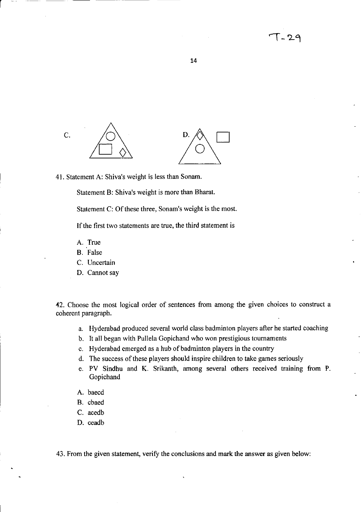

41. Statement A: Shiva's weight is less than Sonam.

Statement B: Shiva's weight is more than Bharat.

Statement C: Of these three, Sonam's weight is the most.

If the first two statements are true, the third statement is

A. True

r

- B. False
- C. Uncertain
- D. Cannot say

-42. Choose the most logical order of sentences from among the given choices to construct a coherent paragraph.

- a. Hyderabad produced several world class badminton players after he started coaching
- b. It all began with Pullela Gopichand who won prestigious tournaments
- c. Hyderabad emerged as a hub of badminton players in the country
- d. The success of these players should inspire children to take games seriously
- e. PV Sindhu and K. Srikanth, among several others received training from P. Gopichand
- A. baecd
- B. cbaed
- C. acedb
- D. ceadb

43. From the given statement, verify the conclusions and mark the answer as given below: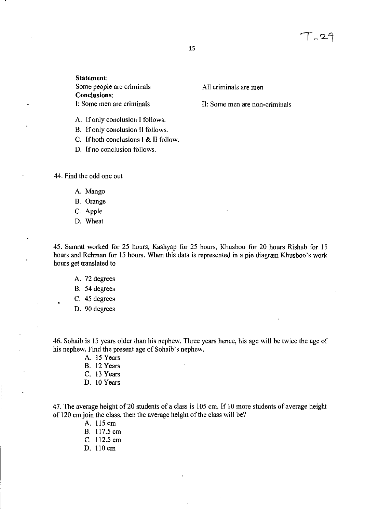**Statement:**  Some people are criminals **Conclusions:**  I: Some men are criminals

All criminals are men

II: Some men are non-criminals

A. If only conclusion I follows.

B. If only conclusion II follows.

C. If both conclusions I & II follow.

D. If no conclusion follows.

44. Find the odd one *out* 

- A. Mango
- B. Orange
- C. Apple
- D. Wheat

45. Samrat worked for 25 hours, Kashyap for 25 hours, Khusboo for 20 hours Rishab for 15 hours and Rehman for IS hours. When this data is represented in a pie diagram Khusboo's work hours get translated to

- A. 72 degrees
- B. 54 degrees
- C. 45 degrees
- D. 90 degrees

46. Sohaib is 15 years older than his nephew. Three years hence, his age will be twice the age of his nephew. Find the present age of Sohaib's nephew.

- A. IS Years
- B. 12 Years
- C. 13 Years
- D. 10 Years

47. The average height of 20 students of a class is 105 cm. If 10 more students of average height of 120 cm join the class, then the average height of the class will be?

> A. 115cm B. 117.5 cm C. 112.5 cm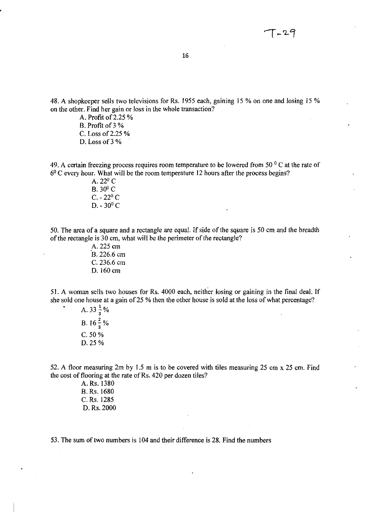16

48. A shopkeeper sells two televisions for Rs. 1955 each, gaining 15 % on one and losing 15 % on the other. Find her gain or loss in the whole transaction?

A. Profit of 2.25 % B. Profit of 3 % C. Loss of  $2.25\%$ D. Loss of 3 %

49. A certain freezing process requires room temperature to be lowered from 50 $\degree$ C at the rate of  $6<sup>0</sup>$  C every hour. What will be the room temperature 12 hours after the process begins?

> A. 22° C  $B. 30^{0} C$  $C. - 22^0 C$ D. -  $30^0$  C

50. The area of a square and a rectangle are equal. If side of the square is 50 cm and the breadth of the rectangle is 30 cm, what will be the perimeter of the rectangle?

> A. 225 cm B. 226.6 cm C. 236.6 cm D. 160 cm

51. A woman sells two houses for Rs. 4000 each, neither losing or gaining in the final deal. If she sold one house at a gain of 25 % then the other house is sold at the loss of what percentage?

> A.  $33\frac{1}{3}\%$ B.  $16\frac{2}{3}\%$ C.50% 0.25%

52. A floor measuring 2m by 1.5 m is to be covered with tiles measuring 25 cm x 25 cm. Find the cost of flooring at the rate of Rs. 420 per dozen tiles?

> A. Rs.1380 B. Rs. 1680 C. Rs. 1285 O. Rs.2000

53. The sum of two numbers is 104 and their difference is 28. Find the numbers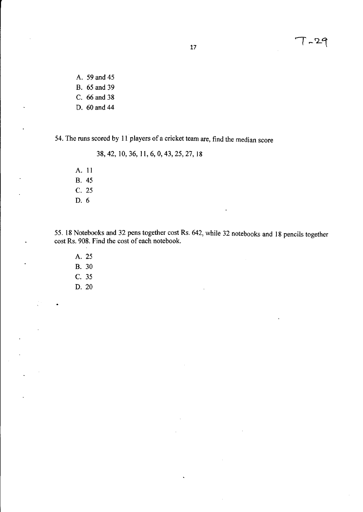T-29

A. 59 and 45

- B. 65 and 39
- C. 66 and 38
- D. 60 and 44

54. The runs scored by 11 players of a cricket team are, find the median score

38,42,10,36, 11,6,0,43,25,27,18

A. 11 B. 45 C. 25 D. 6

55. 18 Notebooks and 32 pens together cost Rs. 642, while 32 notebooks and 18 pencils together cost Rs. 908. Find the cost of each notebook.

 $\ddot{\phantom{1}}$ 

A. 25 B. 30 C. 35 D.20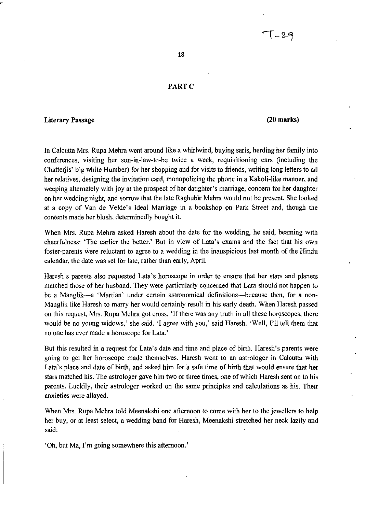## **PART**C

## **Literary** Passage **(20 marks)**

In Calcutta Mrs. Rupa Mehra went around like a whirlwind, buying saris, herding her family into conferences, visiting her son-in-law-to-be twice a week, requisitioning cars (including the Chatterjis' big white Humber) for her shopping and for visits to friends, writing long letters to all her relatives, designing the invitation card, monopolizing the phone in a Kakoli-like manner, and weeping alternately with joy at the prospect of her daughter's marriage, concern for her daughter on her wedding night, and sorrow that the late Raghubir Mehra would not be present. She looked at a copy of Van de Velde's Ideal Marriage in a bookshop on Park Street and, though the contents made her blush, determinedly bought it.

When Mrs. Rupa Mehra asked Haresh about the date for the wedding, he said, beaming with cheerfulness: 'The earlier the better.' But in view of Lata's exams and the fact that his own foster-parents were reluctant to agree to a wedding in the inauspicious last month of the Hindu calendar, the date was set for late, rather than early, April.

Haresh's parents also requested Lata's horoscope in order to ensure that her stars and planets matched those of her husband. They were particularly concerned that Lata should not happen to be a Manglik-a 'Martian' under certain astronomical definitions-because then, for a non-Manglik like Haresh to marry her would certainly result in his early death. When Haresh passed on this request, Mrs. Rupa Mehra got cross. 'If there was any truth in all these horoscopes, there would be no young widows,' she said. 'I agree with you,' said Haresh. 'Well, I'll tell them that no one has ever made a horoscope for Lata.'

But this resulted in a request for Lata's date and time and place of birth. Haresh's parents were going to get her horoscope made themselves. Haresh went to an astrologer in Calcutta with Lata's place and date of birth, and asked him for a safe time of birth that would ensure that her stars matched his. The astrologer gave him two or three times, one of which Haresh sent on to his parents. Luckily, their astrologer worked on the same principles and calculations as his. Their anxieties were allayed.

When Mrs. Rupa Mehra told Meenakshi one afternoon to come with her to the jewellers to help her buy, or at least select, a wedding band for Haresh, Meenakshi stretched her neck lazily and said:

'Oh, but Ma, I'm going somewhere this afternoon.'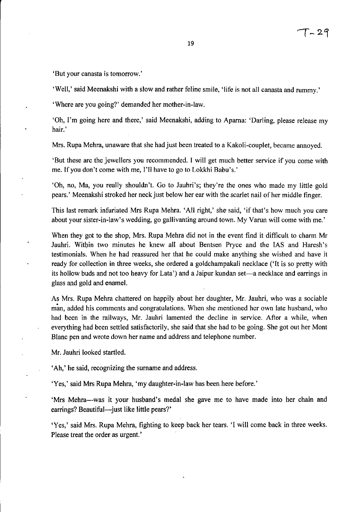'But your canasta is tomorrow.'

'Well,' said Meenakshi with a slow and rather feline smile, 'life is not all canasta and rummy.'

'Where are you going?' demanded her mother-in-law.

'Oh, I'm going here and there,' said Meenakshi, adding to Aparna: 'Darling, please release my hair.'

Mrs. Rupa Mehra, unaware that she had just been treated to a Kakoli-couplet, became annoyed.

'But these are the jewellers you recommended. I will get much better service if you come with me. If you don't come with me, I'll have to go to Lokkhi Babu's.'

'Oh, no, Ma, you really shouldn't. Go to Jauhri's; they're the ones who made my little gold pears.' Meenakshi stroked her neck just below her ear with the scarlet nail of her middle finger.

This last remark infuriated Mrs Rupa Mehra. 'All right,' she said, 'if that's how much you care about your sister-in-law's wedding, go gallivanting around town. My Varun will come with me.'

When they got to the shop, Mrs. Rupa Mehra did not in the event find it difficult to charm Mr Jauhri. Witbin two minutes he knew all about Bentsen Pryce and the lAS and Haresh's testimonials. When he had reassured her that he could make anything she wished and have it ready for collection in three weeks, she ordered a goldchampakali necklace ('It is so pretty with its hollow buds and not too heavy for Lata') and a Jaipur kundan set—a necklace and earrings in glass and gold and enamel.

As Mrs. Rupa Mehra chattered on happily about her daughter, Mr. Jauhri, who was a sociable man, added his comments and congratulations. When she mentioned her own late husband, who had been in the railways, Mr. Jauhri lamented the decline in service. After a while, when everything had been settled satisfactorily, she said that she had to be going. She got out her Mont Blanc pen and wrote down her name and address and telephone number.

Mr. Jauhri looked startled.

'Ah,' he said, recognizing the surname and address.

'Yes,' said Mrs Rupa Mehra, 'my daughter-in-law has been here before.'

'Mrs Mehra--was it your husband's medal she gave me to have made into her chain and earrings? Beautiful--just like little pears?'

'Yes,' said Mrs. Rupa Mehra, fighting to keep back her tears. 'I will come back in three weeks. Please treat the order as urgent.'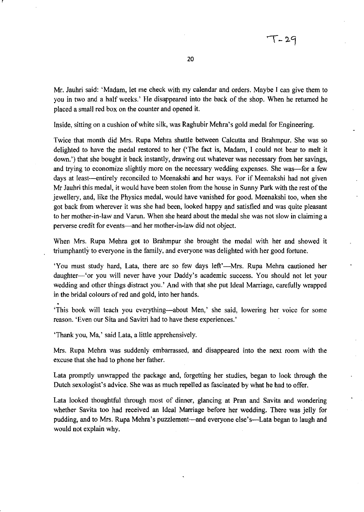Mr. Jauhri said: 'Madam, let me check with my calendar and orders. Maybe I can give them to you in two and a half weeks.' He disappeared into the back of the shop. When he returned he placed a small red box on the counter and opened it.

Inside, sitting on a cushion of white silk, was Raghubir Mehra's gold medal for Engineering.

Twice that month did Mrs. Rupa Mehra shuttle between Calcutta and Brahmpur. She was so delighted to have the medal restored to her ('The fact is, Madam, I could not bear to melt it down.') that she bought it back instantly, drawing out whatever was necessary from her savings, and trying to economize slightly more on the necessary wedding expenses. She was—for a few days at least-entirely reconciled to Meenakshi and her ways. For if Meenakshi had not given Mr lauhri this medal, it would have been stolen from the house in Sunny Park with the rest of the jewellery, and, like the Physics medal, would have vanished for good. Meenakshi too, when she got back from wherever it was she had been, looked happy and satisfied and was quite pleasant to her mother-in-law and Vamn. When she heard about the medal she was not slow in claiming a perverse credit for events-and her mother-in-law did not object.

When Mrs. Rupa Mehra got to Brahmpur she brought the medal with her and showed it triumphantly to everyone in the family, and everyone was delighted with her good fortune.

'You must study hard, Lata, there are so few days left'-Mrs. Rupa Mehra cautioned her daughter-'or you will never have your Daddy's academic success. You should not let your wedding and other things distract you.' And with that she put Ideal Marriage, carefully wrapped in the bridal colours of red and gold, into her hands.

'This book will teach you everything-about Men,' she said, lowering her voice for some reason. 'Even our Sita and Savitri had to have these experiences.'

'Thank you, Ma,' said Lata, a little apprehensively.

r

Mrs. Rupa Mehra was suddenly embarrassed, and disappeared into the next room with the excuse that she had to phone her father.

Lata promptly unwrapped the package and, forgetting her studies, began to look through the Dutch sexologist's advice. She was as much repelled as fascinated by what he had to offer.

Lata looked thoughtful through most of dinner, glancing at Pran and Savita and wondering whether Savita too had received an Ideal Marriage before her wedding. There was jelly for pudding, and to Mrs. Rupa Mehra's puzzlement—and everyone else's—Lata began to laugh and would not explain why.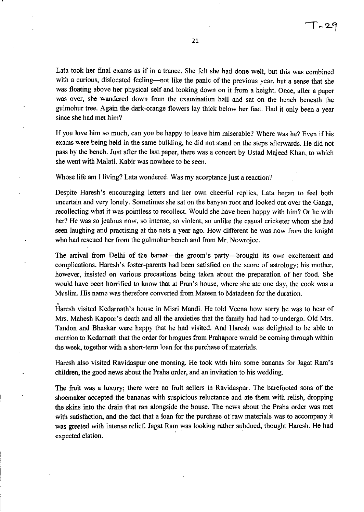Lata took her final exams as if in a trance. She felt she had done well, but this was combined with a curious, dislocated feeling-not like the panic of the previous year, but a sense that she was floating above her physical self and looking down on it from a height. Once, after a paper was over, she wandered down from the examination hall and sat on the bench beneath the gulmohur tree. Again the dark-orange flowers lay thick below her feet. Had it only been a year since she had met him?

If you love him so much, can you be happy to leave him miserable? Where was he? Even ifhis exams were being held in the same building, he did not stand on the steps afterwards. He did not pass by the bench. Just after the last paper, there was a concert by Ustad Majeed Khan, to which she went with Malati. Kabir was nowhere to be seen.

Whose life am I living? Lata wondered. Was my acceptance just a reaction?

Despite Haresh's encouraging letters and her own cheerful replies, Lata began to feel both uncertain and very lonely. Sometimes she sat on the banyan root and looked out over the Ganga, recollecting what it was pointless to recollect. Would she have been happy with him? Or he with her? He was so jealous now, so intense, so violent, so unlike the casual cricketer whom she had seen laughing and practising at the nets a year ago. How different he was now from the knight who had rescued her from the gulmohur bench and from Mr. Nowrojee.

The arrival from Delhi of the baraat—the groom's party—brought its own excitement and complications. Haresh's foster-parents had been satisfied on the score of astrology; his mother, however, insisted on various precautions being taken about the preparation of her food. She would have been horrified to know that at Pran's house, where she ate one day, the cook was a Muslim. His name was therefore converted from Mateen to Matadeen for the duration.

Haresh visited Kedarnath's house in Misri Mandi. He told Veena how sorry he was to hear of Mrs. Mahesh Kapoor's death and all the anxieties that the family had had to·undergo. Old Mrs. Tandon and Bhaskar were happy that he had visited. And Haresh was delighted to be able to mention to Kedarnath that the order for brogues from Prahapore would be coming through within the week, together with a short-term loan for the purchase of materials.

Haresh also visited Ravidaspur one morning. He took with him some bananas for Jagat Ram's children, the good news about the Praha order, and an invitation to his wedding.

The fruit was a luxury; there were no fruit sellers in Ravidaspur. The barefooted sons of the shoemaker accepted the bananas with suspicious reluctance and ate them with relish, dropping the skins into the drain that ran alongside the house. The news about the Praha order was met with satisfaction, and the fact that a loan for the purchase of raw materials was to accompany it was greeted with intense relief. Jagat Ram was looking rather subdued, thought Haresh. He had expected elation.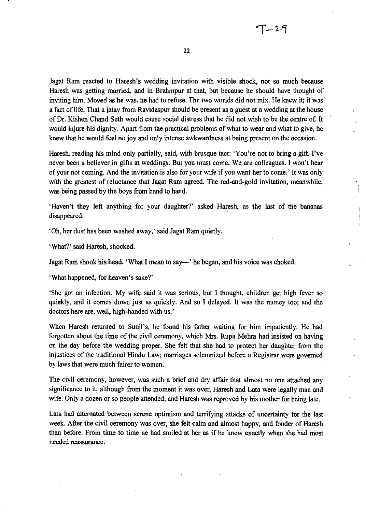$\left\{\rule{0pt}{12pt}\right.$  $\cdot$ <sup>1</sup>

Jagat Ram reacted to Haresh's wedding invitation with visible shock, not so much because Haresh was getting married, and in Brahmpur at that, but because he should have thought of inviting him. Moved as he was, he had to refuse. The two worlds did not mix. He knew it; it was a fact of life. That a jatav from Ravidaspur should be present as a guest at a wedding at the house of Dr. Kishen Chand Seth would cause social distress that he did not wish to be the centre of. It would injure his dignity. Apart from the practical problems of what to wear and what to give, he knew that he would feel no joy and only intense awkwardness at being present on the occasion.

Haresh, reading his mind only partially, said, with brusque tact: 'You're not to bring a gift. I've never been a believer in gifts at weddings. But you must come. We are colleagues. I won't hear of your not coming. And the invitation is also for your wife if you want her to come.' It was only with the greatest of reluctance that Jagat Ram agreed. The red-and-gold invitation, meanwhile, was being passed by the boys from hand to hand.

'Haven't they left anything for your daughter?' asked Haresh, as the last of the bananas disappeared.

'Oh, her dust has been washed away,' said Jagat Ram quietly.

'What?' said Haresh, shocked.

Jagat Ram shook his head. 'What I mean to say-' he began, and his voice was choked.

'What happened, for heaven's sake?'

'She got an infection. My wife said it was serious, but I thought, children get high fever so quiekly, and it comes down just as quickly. And so I delayed. It was the money too; and the doctors here are, well, high-handed with us.'

When Haresh returned to Sunil's, he found his father waiting for him impatiently. He had forgotten about the time of the civil ceremony, which Mrs. Rupa Mehra had insisted on having on the day before the wedding proper. She felt that she had to protect her daughter from the injustices of the traditional Hindu Law; marriages solemnized before a Registrar were governed by laws that were much fairer to women.

The civil ceremony, however, was such a brief and dry affair that almost no one attached any significance to it, although from the moment it was over, Haresh and Lata were legally man and wife. Only a dozen or so people attended, and Haresh was reproved by his mother for being late.

Lata had alternated between serene optimism and terrifying attacks of uncertainty for the last week. After the civil ceremony was over, she felt calm and almost happy, and fonder of Haresh than before. From time to time he had smiled at her as if he knew exactly when she had most needed reassurance.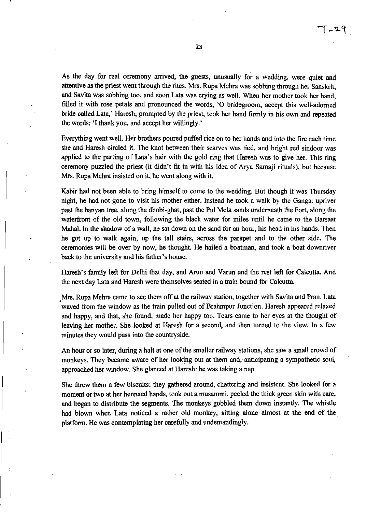As the day for real ceremony arrived, the guests, unusually for a wedding, were quiet and attentive as the priest went through the rites. Mrs. Rupa Mehra was sobbing through her Sanskrit, and Savita was sobbing too, and soon Lata was crying as well. When her mother took her hand, filled it with rose petals and pronounced the words, '0 bridegroom, accept this well-adorned bride called Lata,' Haresh, prompted by the priest, took her hand firmly in his own and repeated the words: 'I thank you, and accept her willingly.'

Everything went well. Her brothers poured puffed rice on to her hands and into the fire each time she and Haresh circled it. The knot between their scarves was tied, and bright red sindoor was applied to the parting of Lata's hair with the gold ring that Haresh was to give her. This ring ceremony puzzled the priest (it didn't fit in with his idea of Arya Samaji rituals), but because Mrs. Rupa Mehra insisted on it, he went along with it.

Kabir had not been able to bring himself to come to the wedding. But though it was Thursday night, he had not gone to visit his mother either. Instead he took a walk by the Ganga: upriver past the banyan tree, along the dhobi-ghat, past the Pul Mela sands underneath the Fort, along the waterfront of the old town, following the black water for miles until he came to the Barsaat Mahal. In the shadow of a wall, he sat down on the sand for an hour, his head in his hands. Then he got up to walk again, up the tail stairs, across the parapet and to the other side. The ceremonies will be over by now, he thought. He hailed a boatman, and took a boat downriver back to the university and his father's house.

Haresh's family left for Delhi that day, and Arun and Varun and the rest left for Calcutta. And the next day Lata and Haresh were themselves seated in a train bound for Calcutta .

• Mrs. Rupa Mehra came to see them off at the railway station, together with Savita and Pran. Lata waved from the window as the train pulled out of Brahmpur Junction. Haresh appeared relaxed and happy, and that, she found, made her happy too. Tears came to her eyes at the thought of leaving her mother. She looked at Haresh for a second, and then turned to the view. In a few minutes they would pass into the countryside.

An hour or so later, during a halt at one of the smaller railway stations, she saw a small crowd of monkeys. They became aware of her looking out at them and, anticipating a sympathetic soul, approached her window. She glanced at Haresh: he was taking a nap.

She threw them a few biscuits: they gathered around, chattering and insistent. She looked for a moment or two at her hennaed hands, took out a musammi, peeled the thick green skin with care, and began to distribute the segments. The monkeys gobbled them down instantly. The whistle had blown when Lata noticed a rather old monkey, sitting alone almost at the end of the platform. He was contemplating her carefully and undemandingly.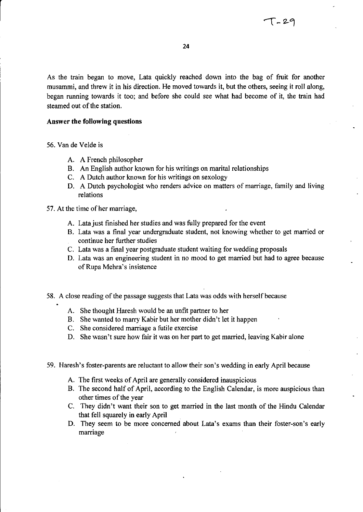24

As the train began to move, Lata quickly reached down into the bag of fruit for another musammi, and threw it in his direction. He moved towards it, but the others, seeing it roll along, began running towards it too; and before she could see what had become of it, the train had steamed out of the station.

## Answer **the following** questions

56. Van de Velde is

- A. A French philosopher
- B. An English author known for his writings on marital relationships
- C. A Dutch author known for his writings on sexology
- D. A Dutch psychologist who renders advice on matters of marriage, family and living relations

57. At the time of her marriage,

- A. Lata just finished her studies and was fully prepared for the event
- B. Lata was a final year undergraduate student, not knowing whether to get married or continue her further studies
- C. Lata was a final year postgraduate student waiting for wedding proposals
- D. Lata was an engineering student in no mood to get married but had to agree because of Rupa Mehra's insistence
- 58. A close reading of the passage suggests that Lata was odds with herself because
	- A. She thought Haresh would be an unfit partner to her
	- B. She wanted to marry Kabir but her mother didn't let it happen
	- C. She considered marriage a futile exercise
	- D. She wasn't sure how fair it was on her part to get married, leaving Kabir alone
- 59. Haresh's foster-parents are reluctant to allow their son's wedding in early April because
	- A. The first weeks of April are generally considered inauspicious
	- B. The second half of April, according to the English Calendar, is more auspicious than other times of the year
	- C. They didn't want their son to get married in the last month of the Hindu Calendar that fell squarely in early April
	- D. They seem to be more concerned about Lata's exams than their foster-son's early marriage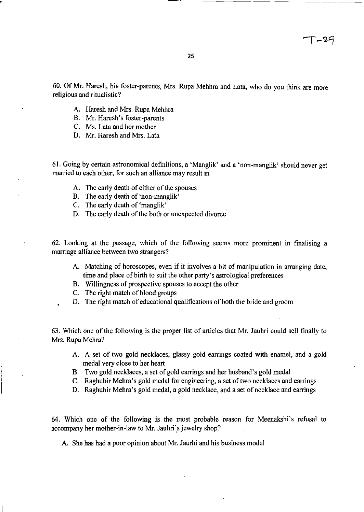25

60. Of Mr. Haresh, his foster-parents, Mrs. Rupa Mehhra and Lata, who do you think are more religious and ritualistic?

- A. Haresh and Mrs. Rupa Mehhra
- B. Mr. Haresh's foster-parents
- C. Ms. Lata and her mother

r

D. Mr. Haresh and Mrs. Lata

61. Going by certain astronomical definitions, a 'Manglik' and a 'non-manglik' should never get married to each other, for such an alliance may result in

- A. The early death of either of the spouses
- B. The early death of 'non-manglik'
- C. The early death of'manglik'
- D. The early death of the both or unexpected divorce

62. Looking at the passage, which of the following seems more prominent in finalising a marriage alliance between two strangers?

- A. Matching of horoscopes, even if it involves a bit of manipulation in arranging date, time and place of birth to suit the other party's astrological preferences
- B. Willingness of prospective spouses to accept the other
- C. The right match of blood groups
- D. The right match of educational qualifications of both the bride and groom

63. Which one of the following is the proper list of articles that Mr. lauhri could sell finally to Mrs. Rupa Mehra?

- A. A set of two gold necklaces, glassy gold earrings coated with enamel, and a gold medal very close to her heart
- B. Two gold necklaces, a set of gold earrings and her husband's gold medal
- C. Raghubir Mehra's gold medal for engineering, a set of two necklaces and earrings
- D. Raghubir Mehra's gold medal, a gold necklace, and a set of necklace and earrings

64. Which one of the following is the most probable reason for Meenakshi's refusal to accompany her mother-in-law to Mr. Jauhri's jewelry shop?

A. She has had a poor opinion about Mr. Jaurhi and his business model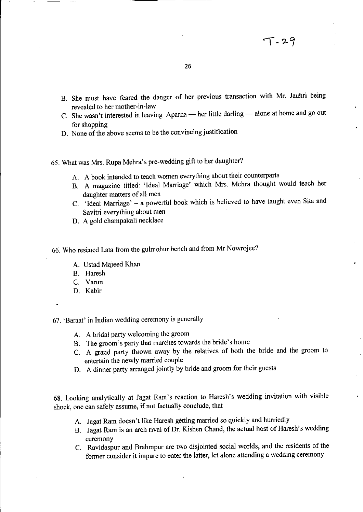- B. She must have feared the danger of her previous transaction with Mr. Jauhri being revealed to her mother-in-law
- C. She wasn't interested in leaving Aparna her little darling alone at home and go out for shopping
- D. None of the above seems to be the convincing justification
- 65. What was Mrs. Rupa Mehra's pre-wedding gift to her daughter?
	- A. A book intended to teach women everything about their counterparts
	- B. A magazine titled: 'Ideal Marriage' which Mrs. Mehra thought would teach her daughter matters of all men
	- C. 'Ideal Marriage' a powerful book which is believed to have taught even Sita and Savitri everything about men
	- D. A gold champakali necklace
- 66. Who rescued Lata from the gulmohur bench and from Mr Nowrojee?
	- A. Ustad Majeed Khan
	- B. Haresh
	- C. Yarun
	- D. Kabir
- 67. 'Baraat' in Indian wedding ceremony is generally
	- A. A bridal party welcoming the groom
	- B. The groom's party that marches towards the bride's home
	- C. A grand party thrown away by the relatives of both the bride and the groom to entertain the newly married couple
	- D. A dinner party arranged jointly by bride and groom for their guests

68. Looking analytically at Jagat Ram's reaction to Haresh's wedding invitation with visible shock, one can safely assume, if not factually conclude, that

- A. Jagat Ram doesn't like Haresh getting married so quickly and hurriedly
- B. Jagat Ram is an arch rival of Dr. Kishen Chand, the actual host of Haresh's wedding ceremony
- C. Ravidaspur and Brahmpur are two disjointed social worlds, and the residents of the former consider it impure to enter the latter, let alone attending a wedding ceremony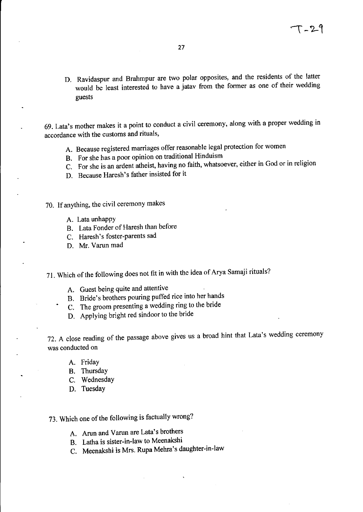D. Ravidaspur and Brahmpur are two polar opposites, and the residents of the latter would be least interested to have a jatav from the former as one of their wedding guests

69. Lata's mother makes it a point to conduct a civil ceremony, along with a proper wedding in accordance with the customs and rituals,

- A. Because registered marriages offer reasonable legal protection for women
- B. For she has a poor opinion on traditional Hinduism
- C. For she is an ardent atheist, having no faith, whatsoever, either in God or in religion
- D. Because Haresh's father insisted for it

70. If anything, the civil ceremony makes

- A. Lata unhappy
- B. Lata Fonder of Haresh than before
- C. Haresh's foster-parents sad
- D. Mr. Varun mad
- 71. Which of the following does not fit in with the idea of Arya Samaji rituals?
	- A. Guest being quite and attentive
	- B. Bride's brothers pouring puffed rice into her hands
	- C. The groom presenting a wedding ring to the bride
	- D. Applying bright red sindoor to the bride

72. A close reading of the passage above gives us a broad hint that Lata's wedding ceremony was conducted on

- A. Friday
- B. Thursday
- C. Wednesday
- D. Tuesday

73. Which one of the following is factually wrong?

- A. Arun and Varun are Lata's brothers
- B. Latha is sister-in-law to Meenakshi
- C. Meenakshi is Mrs. Rupa Mehra's daughter-in-law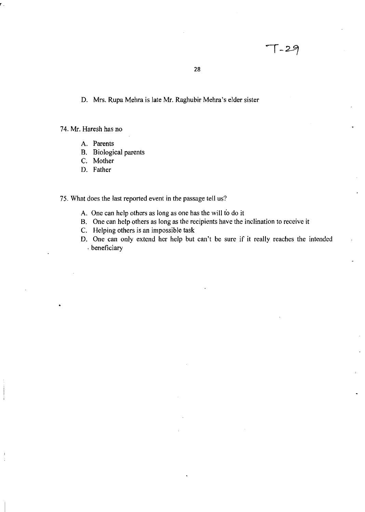D. Mrs. Rupa Mehra is late Mr. Raghubir Mehra's elder sister

## 74. Mr. Haresh has no

,-

- A. Parents
- B. Biological parents
- C. Mother
- D. Father
- 75. What does the last reported event in the passage tell us?
	- A. One can help others as long as one has the will to do it
	- B. One can help others as long as the recipients have the inclination to receive it
	- C. Helping others is an impossible task
	- D. One can only extend her help but can't be sure if it really reaches the intended . beneficiary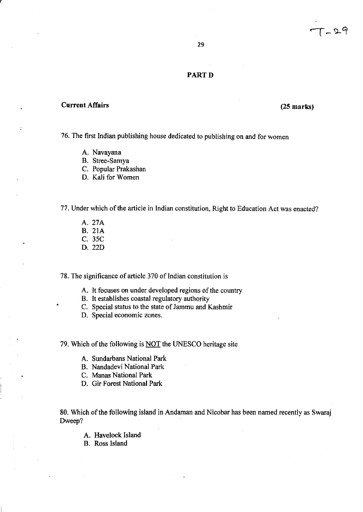## **PART D**

## **Current Affairs** (25 **marks)**

r

76. The first Indian publishing house dedicated to publishing on and for women

- A. Navayana
- B. Stree-Samya
- C. Popular Prakashan
- O. Kali for Women

77. Under which of the article in Indian constitution, Right to Education Act was enacted?

A.27A B. 21A C. 35C D.220

78. The significance of article 370 of Indian constitution is

- A. It focuses on under developed regions of the country
- B. It establishes coastal regulatory authority
- C. Special status to the state of Jammu and Kashmir
- O. Special economic zones.

79. Which of the following is NOT the UNESCO heritage site

- A. Sundarbans National Park
- B. Nandadevi National Park
- C. Manas National Park
- O. Gir Forest National Park

80. Which of the following island in Andaman and Nicobar has been named recently as Swaraj Oweep?

- A. Havelock Island
- B. Ross Island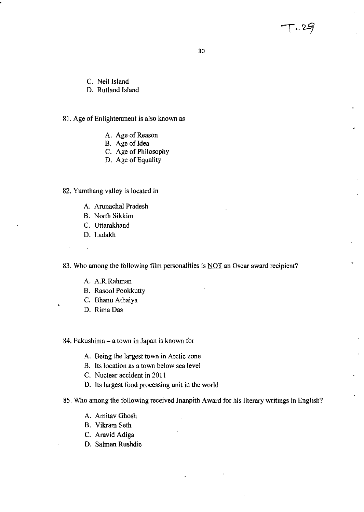- c. Neil Island
- D. Rutland Island
- 81. Age of Enlightenment is also known as
	- A. Age of Reason
	- B. Age of Idea
	- c. Age of Philosophy
	- D. Age of Equality
- 82. Yumthang valley is located in
	- A. Arunachal Pradesh
	- B. North Sikkim
	- C. Uttarakhand
	- D. Ladakh
- 83. Who among the following film personalities is NOT an Oscar award recipient?
	- A. A.R.Rahman
	- B. Rasool Pookkutty
	- C. Bhanu Athaiya
	- D. RimaDas
- 84. Fukushima a town in Japan is known for
	- A. Being the largest town in Arctic zone
	- B. Its location as a town below sea level
	- C. Nuclear accident in 2011
	- D. Its largest food processing unit in the world
- 85. Who among the following received Jnanpith Award for his literary writings in English?
	- A. Amitav Ghosh
	- B. Vikram Seth
	- C. Aravid Adiga
	- D. Salman Rushdie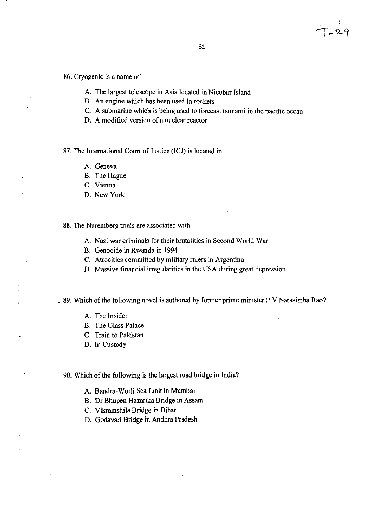$T - 29$ 

86. Cryogenic is a name of

- A. The largest telescope in Asia located in Nicobar Island
- B. An engine which has been used in rockets
- C. A submarine which is being used to forecast tsunami in the pacific ocean
- D. A modified version of a nuclear reactor

87. The International Court of Justice (ICJ) is located in

A. Geneva

- B. The Hague
- C. Vienna
- D. New York

### 88. The Nuremberg trials are associated with

- A. Nazi war criminals for their brutalities in Second World War
- B'. Genocide in Rwanda in 1994
- C. Atrocities committed by military rulers in Argentina
- D. Massive financial irregularities in the USA during great depression

. 89. Which of the following novel is authored by former prime minister P V Narasimha Rao?

- A. The Insider
- B. The Glass Palace
- C. Train to Pakistan
- D. In Custody

### 90. Which of the following is the largest road bridge in India?

- A. Bandra-Worli Sea Link in Mumbai
- B. Dr Bhupen Hazarika Bridge in Assam
- C. Vikramshila Bridge in Bihar
- D. Godavari Bridge in Andhra Pradesh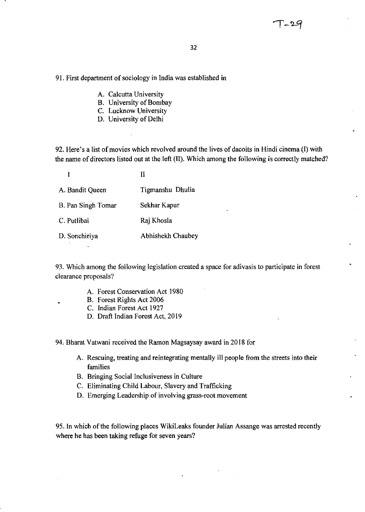## 91. First department of sociology in India was established in

- A. Calcutta University
- B. University of Bombay
- C. Lucknow University
- D. University of Delhi

92. Here's a list of movies which revolved around the lives of dacoits in Hindi cinema (I) with the name of directors listed out at the left (II). Which among the following is correctly matched?

|                    | п                 |
|--------------------|-------------------|
| A. Bandit Queen    | Tigmanshu Dhulia  |
| B. Pan Singh Tomar | Sekhar Kapur      |
| C. Putlibai        | Raj Khosla        |
| D. Sonchiriya      | Abhishekh Chaubey |

93. Which among the following legislation created a space for adivasis to participate in forest clearance proposals?

- A. Forest Conservation Act 1980
- B. Forest Rights Act 2006
- C. Indian Forest Act 1927
- D. Draft Indian Forest Act, 2019

94. Bharat Vatwani received the Ramon Magsaysay award in 2018 for

- A. Rescuing, treating and reintegrating mentally ill people from the streets into their families
- B. Bringing Social Inclusiveness in Culture
- C. Eliminating Child Labour, Slavery and Trafficking
- D. Emerging Leadership of involving grass-root movement

95. In which of the following places WikiLeaks founder Julian Assange was arrested recently where he has been taking refuge for seven years?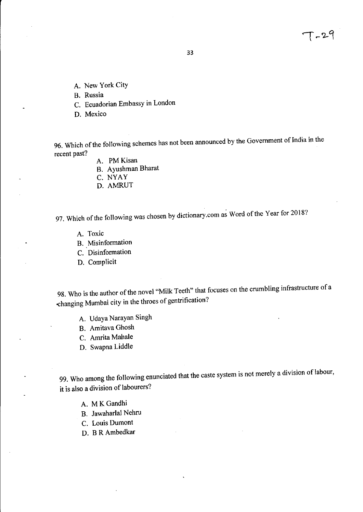$T - 29$ 

A. New York City

B. Russia

- C. Ecuadorian Embassy in London
- D. Mexico

96. Which of the following schemes has not been announced by the Government of India in the recent past?

- A. PM Kisan
- B. Ayushman Bharat
- C. NYAY
- D. AMRUT

97. Which of the following was chosen by dictionary.com as Word of the Year for 2018?

- A. Toxic
- B. Misinformation
- C. Disinformation
- D. Complicit

98. Who is the author of the novel "Milk Teeth" that focuses on the crumbling infrastructure of a -changing Mumbai city in the throes of gentrification?

- A. Udaya Narayan Singh
- B. Amitava Ghosh
- C. Amrita Mahale
- D. Swapna Liddle

99. Who among the following enunciated that the caste system is not merely a division of labour, it is also a division of labourers?

- A. MKGandhi
- B. Jawaharlal Nehru
- C. Louis Dumont
- D. B R Ambedkar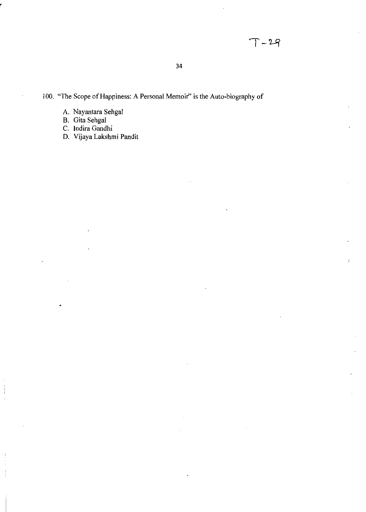100. "The Scope of Happiness: A Personal Memoir" is the Auto-biography of

- A. Nayantara Sehgal
- B. Gita Sehgal
- C. Indira Gandhi
- D. Vijaya Lakshmi Pandit